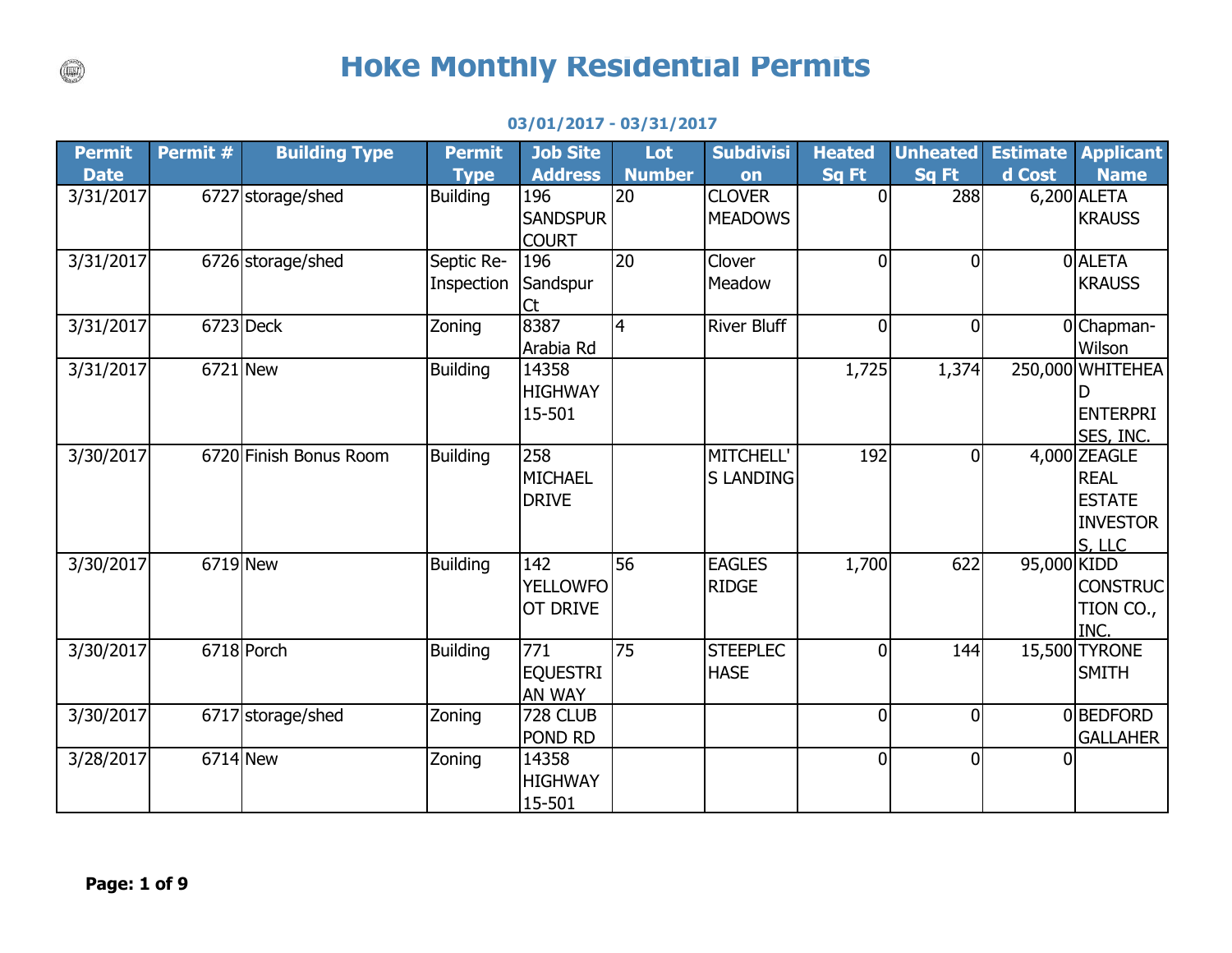## **Hoke Monthly Residential Permits**

## **03/01/2017 - 03/31/2017**

| <b>Permit</b> | Permit # | <b>Building Type</b>   | <b>Permit</b>   | <b>Job Site</b> | Lot            | <b>Subdivisi</b>   | <b>Heated</b>  | <b>Unheated</b> |             | <b>Estimate Applicant</b> |
|---------------|----------|------------------------|-----------------|-----------------|----------------|--------------------|----------------|-----------------|-------------|---------------------------|
| <b>Date</b>   |          |                        | <b>Type</b>     | <b>Address</b>  | <b>Number</b>  | on                 | Sq Ft          | Sq Ft           | d Cost      | <b>Name</b>               |
| 3/31/2017     |          | 6727 storage/shed      | <b>Building</b> | 196             | 20             | <b>CLOVER</b>      | $\overline{0}$ | 288             |             | $6,200$ ALETA             |
|               |          |                        |                 | <b>SANDSPUR</b> |                | <b>MEADOWS</b>     |                |                 |             | <b>KRAUSS</b>             |
|               |          |                        |                 | <b>COURT</b>    |                |                    |                |                 |             |                           |
| 3/31/2017     |          | 6726 storage/shed      | Septic Re-      | 196             | 20             | Clover             | $\overline{0}$ | $\Omega$        |             | <b>O</b> ALETA            |
|               |          |                        | Inspection      | Sandspur        |                | Meadow             |                |                 |             | <b>KRAUSS</b>             |
|               |          |                        |                 |                 |                |                    |                |                 |             |                           |
| 3/31/2017     |          | 6723 Deck              | Zoning          | 8387            | $\overline{4}$ | <b>River Bluff</b> | $\overline{0}$ | $\Omega$        |             | 0Chapman-                 |
|               |          |                        |                 | Arabia Rd       |                |                    |                |                 |             | <b>Wilson</b>             |
| 3/31/2017     |          | 6721 New               | <b>Building</b> | 14358           |                |                    | 1,725          | 1,374           |             | 250,000 WHITEHEA          |
|               |          |                        |                 | <b>HIGHWAY</b>  |                |                    |                |                 |             |                           |
|               |          |                        |                 | 15-501          |                |                    |                |                 |             | <b>ENTERPRI</b>           |
|               |          |                        |                 |                 |                |                    |                |                 |             | SES, INC.                 |
| 3/30/2017     |          | 6720 Finish Bonus Room | <b>Building</b> | 258             |                | MITCHELL'          | 192            | 0l              |             | 4,000 ZEAGLE              |
|               |          |                        |                 | <b>MICHAEL</b>  |                | <b>SLANDING</b>    |                |                 |             | <b>REAL</b>               |
|               |          |                        |                 | <b>DRIVE</b>    |                |                    |                |                 |             | <b>ESTATE</b>             |
|               |          |                        |                 |                 |                |                    |                |                 |             | <b>INVESTOR</b>           |
| 3/30/2017     |          | 6719 New               | <b>Building</b> | 142             | 56             | <b>EAGLES</b>      | 1,700          | 622             | 95,000 KIDD | S, LLC                    |
|               |          |                        |                 | <b>YELLOWFO</b> |                | <b>RIDGE</b>       |                |                 |             | <b>CONSTRUC</b>           |
|               |          |                        |                 | OT DRIVE        |                |                    |                |                 |             | TION CO.,                 |
|               |          |                        |                 |                 |                |                    |                |                 |             | INC.                      |
| 3/30/2017     |          | 6718 Porch             | <b>Building</b> | 771             | 75             | <b>STEEPLEC</b>    | $\overline{0}$ | 144             |             | 15,500 TYRONE             |
|               |          |                        |                 | <b>EQUESTRI</b> |                | <b>HASE</b>        |                |                 |             | <b>SMITH</b>              |
|               |          |                        |                 | <b>AN WAY</b>   |                |                    |                |                 |             |                           |
| 3/30/2017     |          | 6717 storage/shed      | Zoning          | 728 CLUB        |                |                    | $\overline{0}$ | $\overline{0}$  |             | 0BEDFORD                  |
|               |          |                        |                 | POND RD         |                |                    |                |                 |             | <b>GALLAHER</b>           |
| 3/28/2017     |          | 6714 New               | Zoning          | 14358           |                |                    | $\overline{0}$ | 0l              | ŋ           |                           |
|               |          |                        |                 | <b>HIGHWAY</b>  |                |                    |                |                 |             |                           |
|               |          |                        |                 | 15-501          |                |                    |                |                 |             |                           |

**Page: 1 of 9**

 $\circledcirc$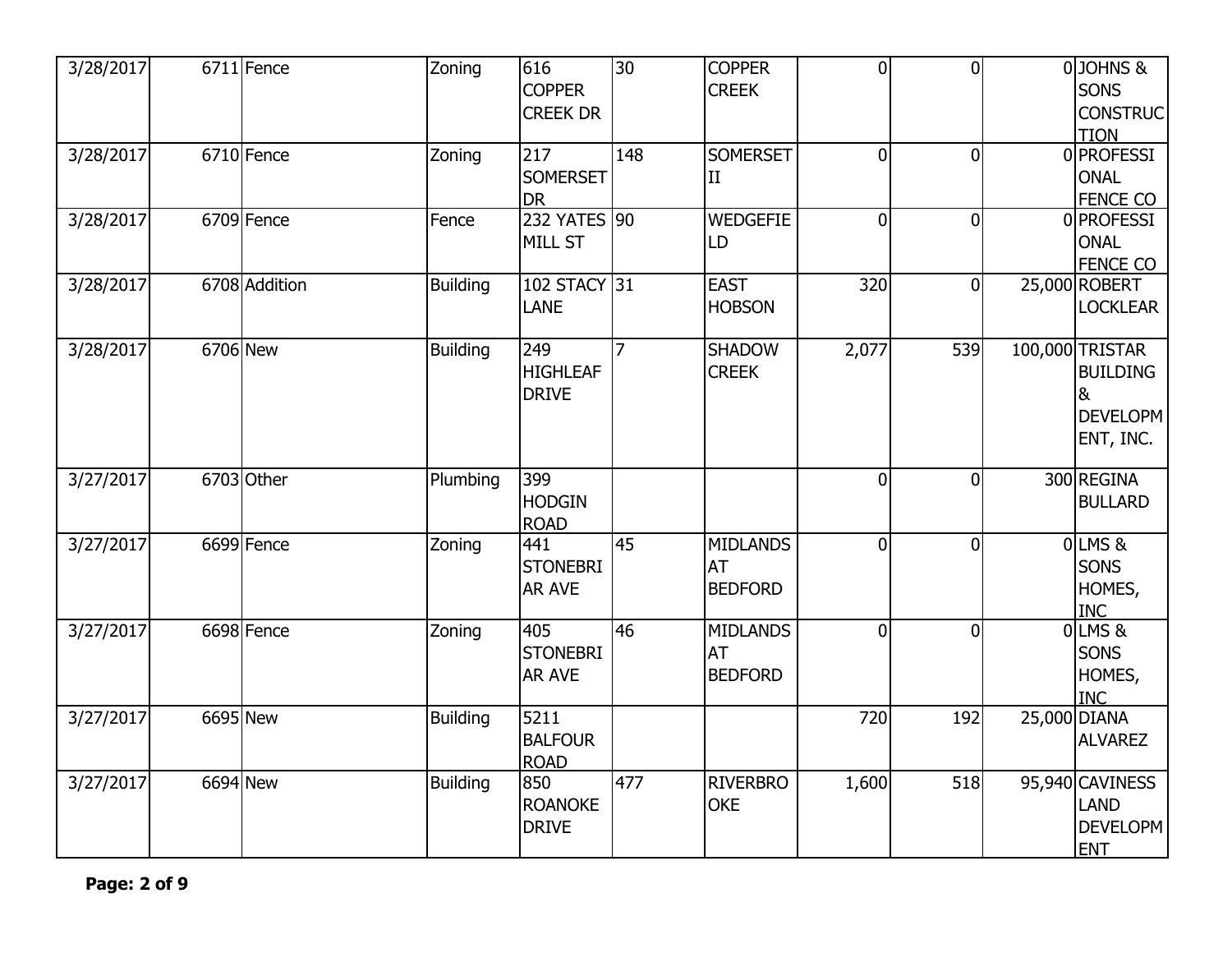| 3/28/2017 | 6711 Fence    | Zoning          | 616<br><b>COPPER</b> | 30  | <b>COPPER</b><br><b>CREEK</b> | $\mathbf{0}$   | $\overline{0}$ | 0JOHNS&<br><b>SONS</b>         |
|-----------|---------------|-----------------|----------------------|-----|-------------------------------|----------------|----------------|--------------------------------|
|           |               |                 | <b>CREEK DR</b>      |     |                               |                |                | <b>CONSTRUC</b><br><b>TION</b> |
| 3/28/2017 | 6710 Fence    | Zoning          | 217                  | 148 | <b>SOMERSET</b>               | $\overline{0}$ | $\overline{0}$ | 0 PROFESSI                     |
|           |               |                 | <b>SOMERSET</b>      |     | $_{\rm II}$                   |                |                | <b>ONAL</b>                    |
|           |               |                 | <b>DR</b>            |     |                               |                |                | <b>FENCE CO</b>                |
| 3/28/2017 | 6709 Fence    | Fence           | 232 YATES 90         |     | <b>WEDGEFIE</b>               | $\overline{0}$ | $\overline{0}$ | 0 PROFESSI                     |
|           |               |                 | <b>MILL ST</b>       |     | LD                            |                |                | <b>ONAL</b>                    |
|           |               |                 |                      |     |                               |                |                | <b>FENCE CO</b>                |
| 3/28/2017 | 6708 Addition | <b>Building</b> | 102 STACY 31         |     | <b>EAST</b>                   | 320            | $\overline{0}$ | 25,000 ROBERT                  |
|           |               |                 | LANE                 |     | <b>HOBSON</b>                 |                |                | <b>LOCKLEAR</b>                |
| 3/28/2017 | 6706 New      | <b>Building</b> | 249                  |     | <b>SHADOW</b>                 | 2,077          | 539            | 100,000 TRISTAR                |
|           |               |                 | <b>HIGHLEAF</b>      |     | <b>CREEK</b>                  |                |                | <b>BUILDING</b>                |
|           |               |                 | DRIVE                |     |                               |                |                | &                              |
|           |               |                 |                      |     |                               |                |                | DEVELOPM                       |
|           |               |                 |                      |     |                               |                |                | ENT, INC.                      |
| 3/27/2017 | 6703 Other    | Plumbing        | 399                  |     |                               | $\overline{0}$ | $\overline{0}$ | 300 REGINA                     |
|           |               |                 | <b>HODGIN</b>        |     |                               |                |                | <b>BULLARD</b>                 |
|           |               |                 | ROAD                 |     |                               |                |                |                                |
| 3/27/2017 | 6699 Fence    | Zoning          | 441                  | 45  | <b>MIDLANDS</b>               | $\overline{0}$ | $\overline{0}$ | $0$ LMS $\&$                   |
|           |               |                 | <b>STONEBRI</b>      |     | AT                            |                |                | <b>SONS</b>                    |
|           |               |                 | <b>AR AVE</b>        |     | <b>BEDFORD</b>                |                |                | HOMES,                         |
|           | 6698 Fence    |                 | 405                  | 46  | <b>MIDLANDS</b>               | $\mathbf{0}$   |                | <b>INC</b><br>0 LMS &          |
| 3/27/2017 |               | Zoning          | <b>STONEBRI</b>      |     | AT                            |                | $\overline{0}$ | <b>SONS</b>                    |
|           |               |                 | <b>AR AVE</b>        |     | <b>BEDFORD</b>                |                |                | HOMES,                         |
|           |               |                 |                      |     |                               |                |                | <b>INC</b>                     |
| 3/27/2017 | 6695 New      | <b>Building</b> | 5211                 |     |                               | 720            | 192            | 25,000 DIANA                   |
|           |               |                 | <b>BALFOUR</b>       |     |                               |                |                | <b>ALVAREZ</b>                 |
|           |               |                 | <b>ROAD</b>          |     |                               |                |                |                                |
| 3/27/2017 | 6694 New      | <b>Building</b> | 850                  | 477 | <b>RIVERBRO</b>               | 1,600          | 518            | 95,940 CAVINESS                |
|           |               |                 | <b>ROANOKE</b>       |     | <b>OKE</b>                    |                |                | <b>LAND</b>                    |
|           |               |                 | <b>DRIVE</b>         |     |                               |                |                | DEVELOPM                       |
|           |               |                 |                      |     |                               |                |                | <b>ENT</b>                     |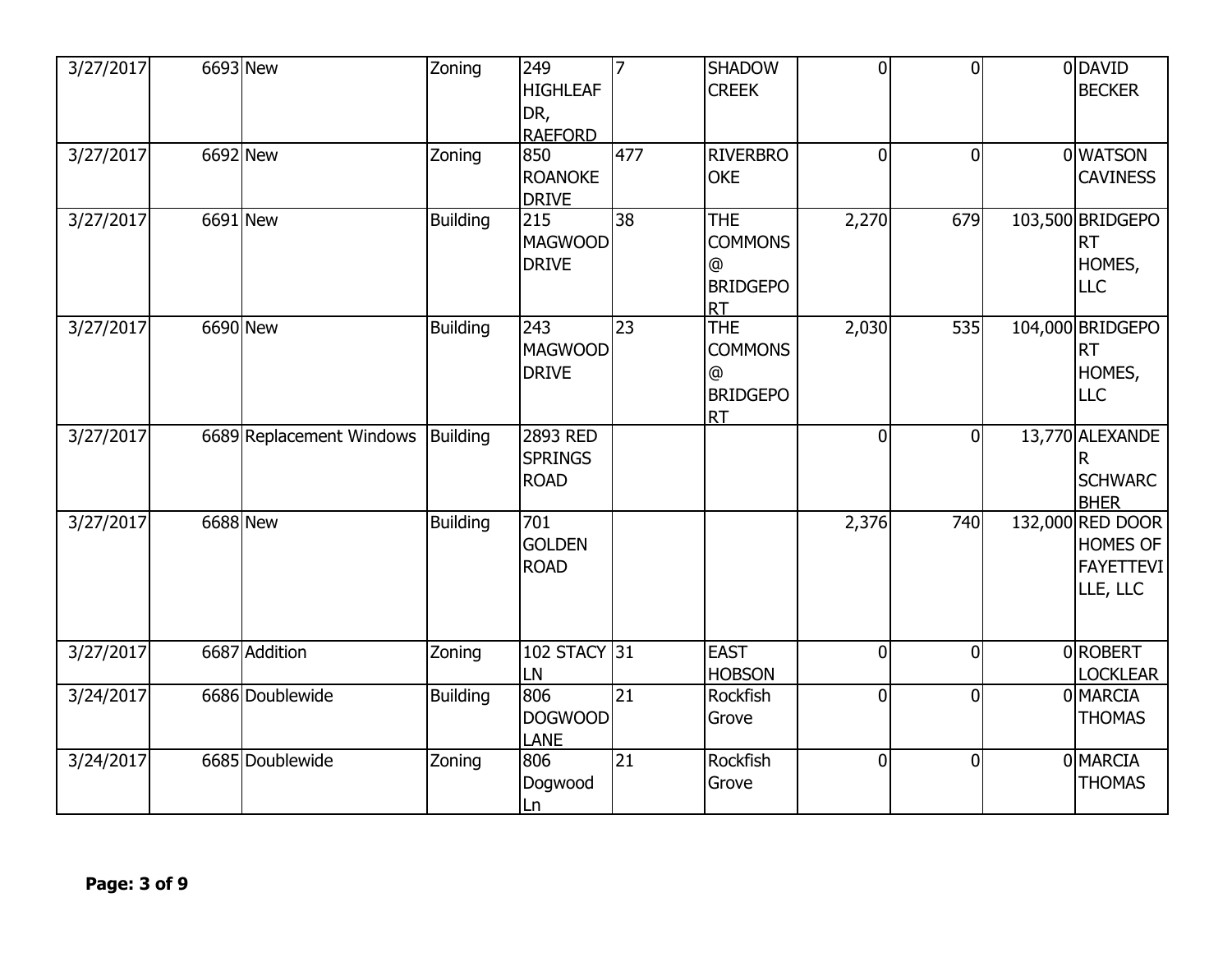| 3/27/2017 | 6693 New                 | Zoning          | 249<br><b>HIGHLEAF</b><br>DR,<br><b>RAEFORD</b> | $\overline{7}$  | <b>SHADOW</b><br><b>CREEK</b>                                              | $\Omega$       | $\overline{0}$ | 0DAVID<br><b>BECKER</b>                                             |
|-----------|--------------------------|-----------------|-------------------------------------------------|-----------------|----------------------------------------------------------------------------|----------------|----------------|---------------------------------------------------------------------|
| 3/27/2017 | 6692 New                 | Zoning          | 850<br><b>ROANOKE</b><br><b>DRIVE</b>           | 477             | <b>RIVERBRO</b><br><b>OKE</b>                                              | $\Omega$       | $\overline{0}$ | 0 WATSON<br><b>CAVINESS</b>                                         |
| 3/27/2017 | 6691 New                 | <b>Building</b> | 215<br><b>MAGWOOD</b><br><b>DRIVE</b>           | 38              | <b>THE</b><br><b>COMMONS</b><br>@<br><b>BRIDGEPO</b><br><b>RT</b>          | 2,270          | 679            | 103,500 BRIDGEPO<br><b>RT</b><br>HOMES,<br><b>LLC</b>               |
| 3/27/2017 | 6690 New                 | <b>Building</b> | 243<br><b>MAGWOOD</b><br><b>DRIVE</b>           | $\overline{23}$ | <b>THE</b><br><b>COMMONS</b><br>$^{\circ}$<br><b>BRIDGEPO</b><br><b>RT</b> | 2,030          | 535            | 104,000 BRIDGEPO<br><b>RT</b><br>HOMES,<br><b>LLC</b>               |
| 3/27/2017 | 6689 Replacement Windows | Building        | 2893 RED<br><b>SPRINGS</b><br><b>ROAD</b>       |                 |                                                                            | $\overline{0}$ | $\overline{0}$ | 13,770 ALEXANDE<br>R<br><b>SCHWARC</b><br><b>BHER</b>               |
| 3/27/2017 | 6688 New                 | <b>Building</b> | 701<br><b>GOLDEN</b><br><b>ROAD</b>             |                 |                                                                            | 2,376          | 740            | 132,000 RED DOOR<br><b>HOMES OF</b><br><b>FAYETTEVI</b><br>LLE, LLC |
| 3/27/2017 | 6687 Addition            | Zoning          | <b>102 STACY 31</b><br>LN                       |                 | <b>EAST</b><br><b>HOBSON</b>                                               | $\Omega$       | $\overline{0}$ | 0ROBERT<br><b>LOCKLEAR</b>                                          |
| 3/24/2017 | 6686 Doublewide          | <b>Building</b> | 806<br><b>DOGWOOD</b><br><b>LANE</b>            | $\overline{21}$ | <b>Rockfish</b><br>Grove                                                   | $\overline{0}$ | $\overline{0}$ | 0 MARCIA<br><b>THOMAS</b>                                           |
| 3/24/2017 | 6685 Doublewide          | Zoning          | 806<br>Dogwood<br>Ln                            | 21              | <b>Rockfish</b><br>Grove                                                   | 0              | $\overline{0}$ | 0 MARCIA<br><b>THOMAS</b>                                           |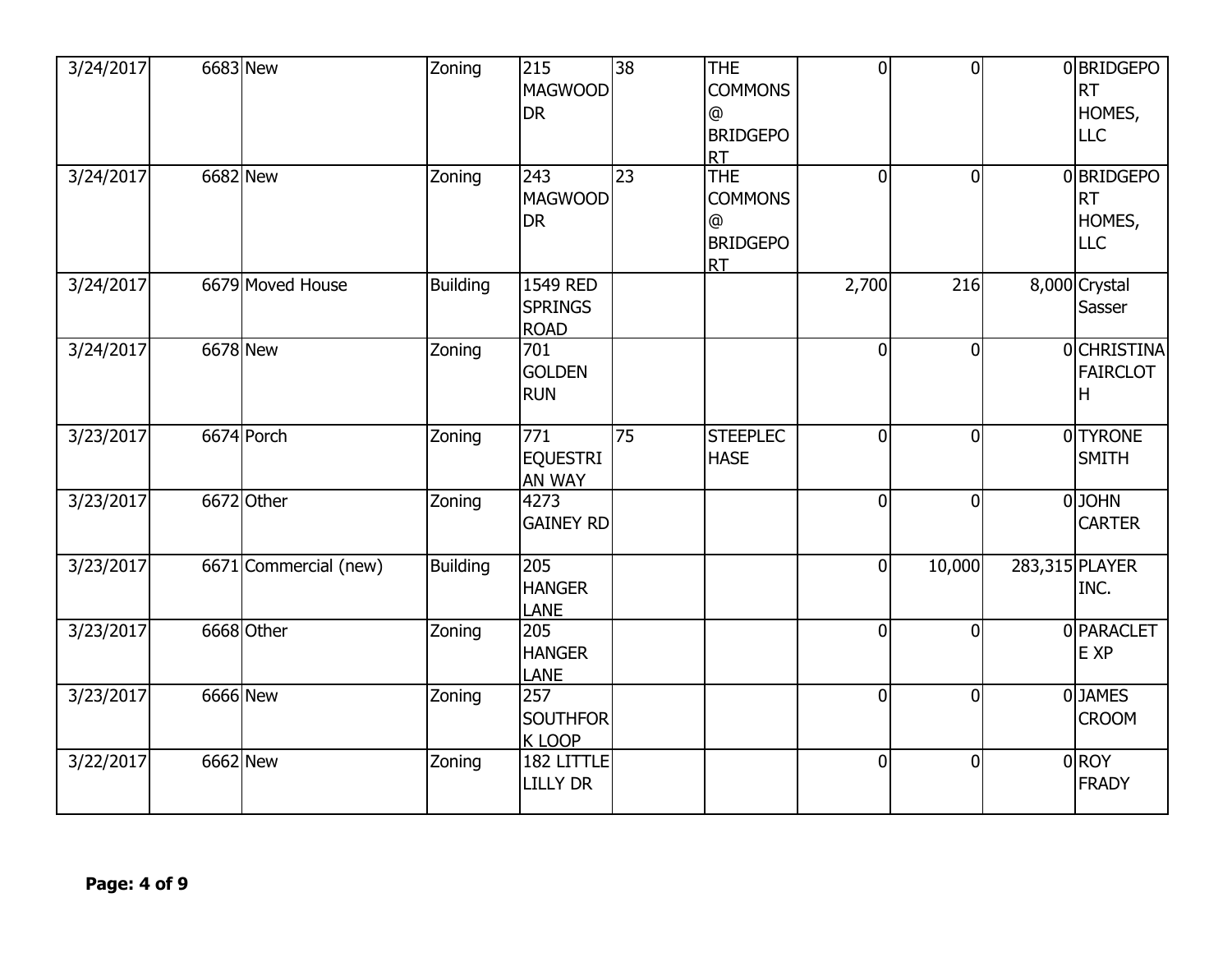| 3/24/2017 | 6683 New              | Zoning          | 215<br><b>MAGWOOD</b><br><b>DR</b>        | $\overline{38}$ | <b>THE</b><br><b>COMMONS</b><br>@<br><b>BRIDGEPO</b><br><b>RT</b> | $\overline{0}$ | $\overline{0}$ | 0BRIDGEPO<br><b>RT</b><br>HOMES,<br><b>LLC</b> |
|-----------|-----------------------|-----------------|-------------------------------------------|-----------------|-------------------------------------------------------------------|----------------|----------------|------------------------------------------------|
| 3/24/2017 | 6682 New              | Zoning          | 243<br><b>MAGWOOD</b><br><b>DR</b>        | 23              | <b>THE</b><br><b>COMMONS</b><br>@<br><b>BRIDGEPO</b><br><b>RT</b> | $\overline{0}$ | $\overline{0}$ | 0BRIDGEPO<br><b>RT</b><br>HOMES,<br><b>LLC</b> |
| 3/24/2017 | 6679 Moved House      | <b>Building</b> | 1549 RED<br><b>SPRINGS</b><br><b>ROAD</b> |                 |                                                                   | 2,700          | 216            | 8,000 Crystal<br>Sasser                        |
| 3/24/2017 | 6678 New              | Zoning          | 701<br><b>GOLDEN</b><br><b>RUN</b>        |                 |                                                                   | $\overline{0}$ | $\overline{0}$ | 0 CHRISTINA<br><b>FAIRCLOT</b><br>н            |
| 3/23/2017 | 6674 Porch            | Zoning          | 771<br><b>EQUESTRI</b><br><b>AN WAY</b>   | 75              | <b>STEEPLEC</b><br><b>HASE</b>                                    | $\overline{0}$ | $\overline{0}$ | 0TYRONE<br><b>SMITH</b>                        |
| 3/23/2017 | 6672 Other            | Zoning          | 4273<br><b>GAINEY RD</b>                  |                 |                                                                   | $\overline{0}$ | $\mathbf 0$    | 0JOHN<br><b>CARTER</b>                         |
| 3/23/2017 | 6671 Commercial (new) | <b>Building</b> | 205<br><b>HANGER</b><br><b>LANE</b>       |                 |                                                                   | $\overline{0}$ | 10,000         | 283,315 PLAYER<br>INC.                         |
| 3/23/2017 | 6668 Other            | Zoning          | 205<br><b>HANGER</b><br><b>LANE</b>       |                 |                                                                   | $\overline{0}$ | $\overline{0}$ | 0 PARACLET<br>E XP                             |
| 3/23/2017 | <b>6666</b> New       | Zoning          | 257<br><b>SOUTHFOR</b><br><b>K LOOP</b>   |                 |                                                                   | $\overline{0}$ | $\overline{0}$ | 0JAMES<br><b>CROOM</b>                         |
| 3/22/2017 | 6662 New              | Zoning          | 182 LITTLE<br><b>LILLY DR</b>             |                 |                                                                   | $\overline{0}$ | $\overline{0}$ | $0$ <sub>ROY</sub><br><b>FRADY</b>             |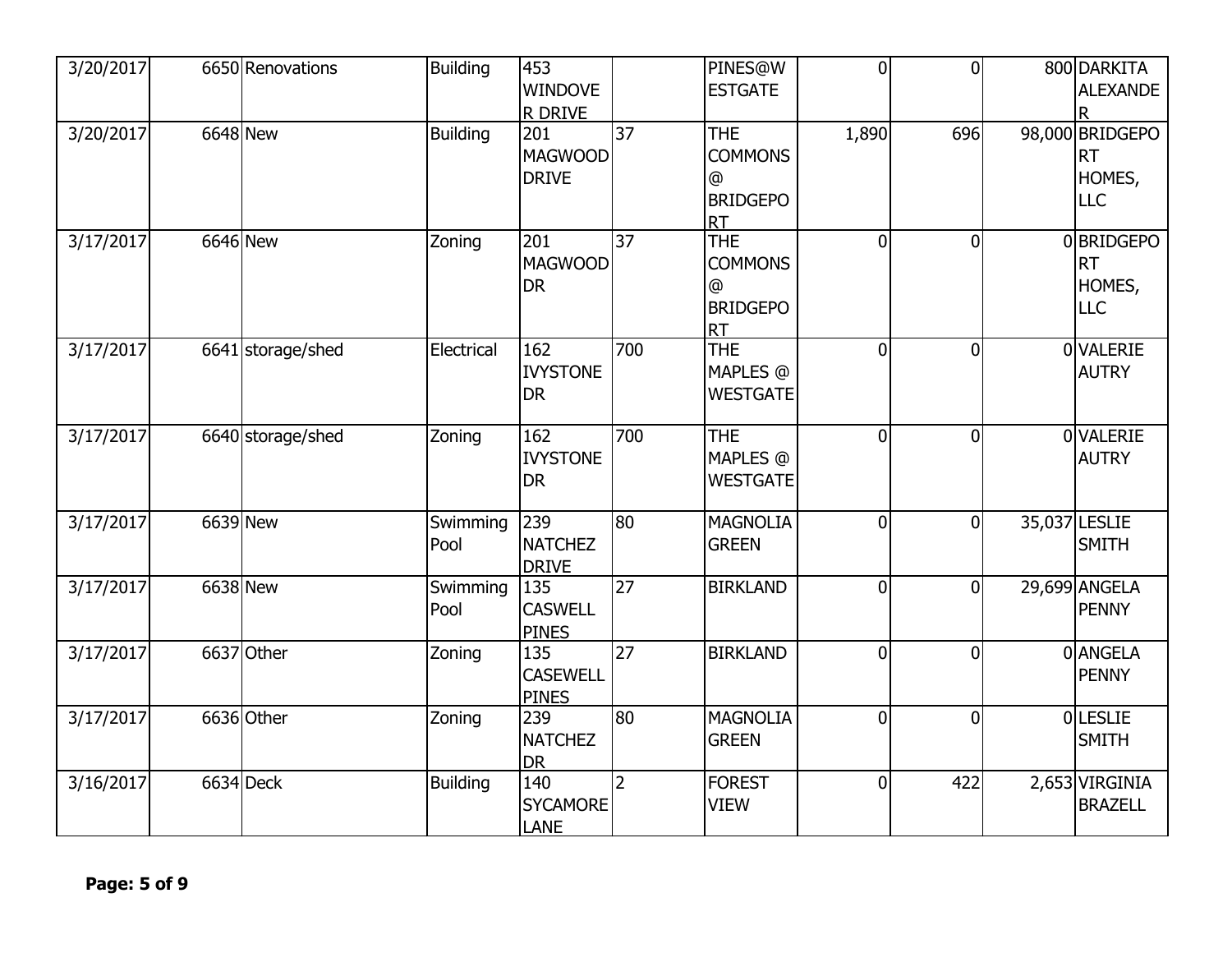| 3/20/2017              | 6650 Renovations  | <b>Building</b>  | 453<br><b>WINDOVE</b><br>R DRIVE       |                 | PINES@W<br><b>ESTGATE</b>                                         | $\overline{0}$ | $\overline{0}$ | 800 DARKITA<br><b>ALEXANDE</b><br>R                  |
|------------------------|-------------------|------------------|----------------------------------------|-----------------|-------------------------------------------------------------------|----------------|----------------|------------------------------------------------------|
| 3/20/2017              | 6648 New          | <b>Building</b>  | 201<br><b>MAGWOOD</b><br><b>DRIVE</b>  | $\overline{37}$ | <b>THE</b><br><b>COMMONS</b><br>@<br><b>BRIDGEPO</b><br><b>RT</b> | 1,890          | 696            | 98,000 BRIDGEPO<br><b>RT</b><br>HOMES,<br><b>LLC</b> |
| 3/17/2017              | 6646 New          | Zoning           | 201<br><b>MAGWOOD</b><br><b>DR</b>     | 37              | <b>THE</b><br><b>COMMONS</b><br>@<br><b>BRIDGEPO</b><br><b>RT</b> | $\overline{0}$ | $\overline{0}$ | 0BRIDGEPO<br><b>RT</b><br>HOMES,<br><b>LLC</b>       |
| 3/17/2017              | 6641 storage/shed | Electrical       | 162<br><b>IVYSTONE</b><br><b>DR</b>    | 700             | <b>THE</b><br>MAPLES @<br><b>WESTGATE</b>                         | $\overline{0}$ | $\overline{0}$ | 0 VALERIE<br><b>AUTRY</b>                            |
| 3/17/2017              | 6640 storage/shed | Zoning           | 162<br><b>IVYSTONE</b><br><b>DR</b>    | 700             | <b>THE</b><br>MAPLES @<br><b>WESTGATE</b>                         | $\overline{0}$ | $\overline{0}$ | <b>OVALERIE</b><br><b>AUTRY</b>                      |
| 3/17/2017              | 6639 New          | Swimming<br>Pool | 239<br><b>NATCHEZ</b><br><b>DRIVE</b>  | 80              | <b>MAGNOLIA</b><br><b>GREEN</b>                                   | $\overline{0}$ | $\overline{0}$ | 35,037 LESLIE<br><b>SMITH</b>                        |
| $\frac{1}{3}$ /17/2017 | 6638 New          | Swimming<br>Pool | 135<br><b>CASWELL</b><br><b>PINES</b>  | $\overline{27}$ | <b>BIRKLAND</b>                                                   | $\overline{0}$ | $\overline{0}$ | 29,699 ANGELA<br><b>PENNY</b>                        |
| 3/17/2017              | 6637 Other        | Zoning           | 135<br><b>CASEWELL</b><br><b>PINES</b> | $\overline{27}$ | <b>BIRKLAND</b>                                                   | $\overline{0}$ | $\overline{0}$ | 0 ANGELA<br><b>PENNY</b>                             |
| 3/17/2017              | 6636 Other        | Zoning           | 239<br><b>NATCHEZ</b><br><b>DR</b>     | 80              | <b>MAGNOLIA</b><br><b>GREEN</b>                                   | 0              | $\overline{0}$ | OLESLIE<br><b>SMITH</b>                              |
| 3/16/2017              | 6634 Deck         | Building         | 140<br><b>SYCAMORE</b><br>LANE         | $\overline{2}$  | <b>FOREST</b><br><b>VIEW</b>                                      | 0              | 422            | 2,653 VIRGINIA<br><b>BRAZELL</b>                     |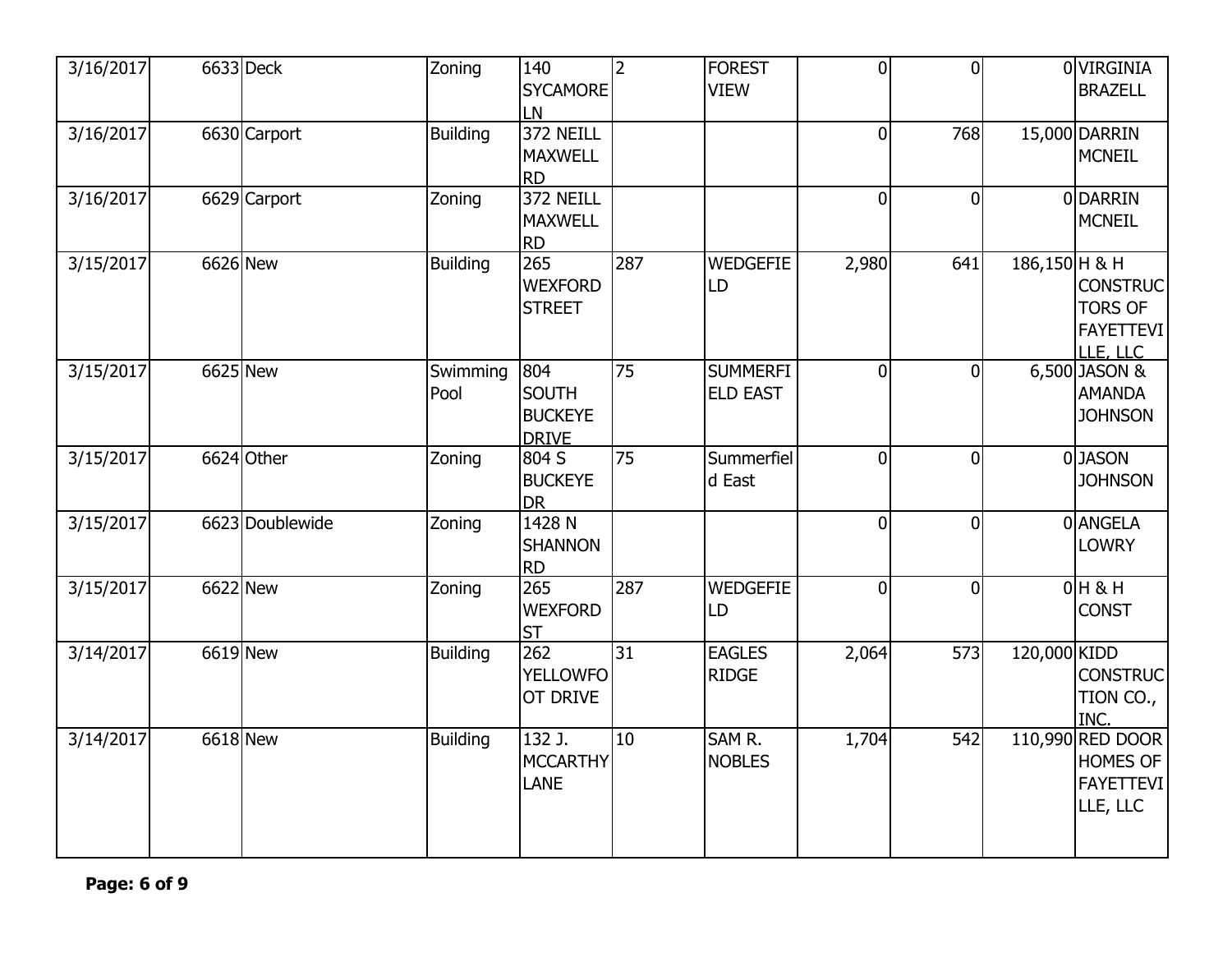| 3/16/2017 | 6633 Deck       | Zoning           | 140<br><b>SYCAMORE</b><br>LN                          | $\overline{2}$ | <b>FOREST</b><br><b>VIEW</b>       | $\overline{0}$ | $\overline{0}$ |               | 0 VIRGINIA<br><b>BRAZELL</b>                                        |
|-----------|-----------------|------------------|-------------------------------------------------------|----------------|------------------------------------|----------------|----------------|---------------|---------------------------------------------------------------------|
| 3/16/2017 | 6630 Carport    | <b>Building</b>  | 372 NEILL<br><b>MAXWELL</b><br><b>RD</b>              |                |                                    | $\overline{0}$ | 768            |               | 15,000 DARRIN<br><b>MCNEIL</b>                                      |
| 3/16/2017 | 6629 Carport    | Zoning           | 372 NEILL<br><b>MAXWELL</b><br><b>RD</b>              |                |                                    | $\overline{0}$ | $\overline{0}$ |               | 0 DARRIN<br><b>MCNEIL</b>                                           |
| 3/15/2017 | 6626 New        | <b>Building</b>  | 265<br><b>WEXFORD</b><br><b>STREET</b>                | 287            | <b>WEDGEFIE</b><br>LD              | 2,980          | 641            | 186,150 H & H | <b>CONSTRUC</b><br><b>TORS OF</b><br><b>FAYETTEVI</b><br>LLE, LLC   |
| 3/15/2017 | 6625 New        | Swimming<br>Pool | 804<br><b>SOUTH</b><br><b>BUCKEYE</b><br><b>DRIVE</b> | 75             | <b>SUMMERFI</b><br><b>ELD EAST</b> | $\overline{0}$ | $\overline{0}$ |               | 6,500 JASON &<br><b>AMANDA</b><br><b>JOHNSON</b>                    |
| 3/15/2017 | 6624 Other      | Zoning           | 804 S<br><b>BUCKEYE</b><br><b>DR</b>                  | 75             | Summerfiel<br>d East               | $\overline{0}$ | $\overline{0}$ |               | 0JASON<br><b>JOHNSON</b>                                            |
| 3/15/2017 | 6623 Doublewide | Zoning           | 1428 N<br><b>SHANNON</b><br><b>RD</b>                 |                |                                    | $\overline{0}$ | $\overline{0}$ |               | 0 ANGELA<br><b>LOWRY</b>                                            |
| 3/15/2017 | <b>6622</b> New | Zoning           | 265<br><b>WEXFORD</b><br><b>ST</b>                    | 287            | <b>WEDGEFIE</b><br>LD              | $\overline{0}$ | $\overline{0}$ |               | $0H$ & H<br><b>CONST</b>                                            |
| 3/14/2017 | 6619 New        | <b>Building</b>  | 262<br><b>YELLOWFO</b><br>OT DRIVE                    | 31             | <b>EAGLES</b><br><b>RIDGE</b>      | 2,064          | 573            | 120,000 KIDD  | CONSTRUC<br>TION CO.,<br>INC.                                       |
| 3/14/2017 | 6618 New        | <b>Building</b>  | 132 J.<br>MCCARTHY<br><b>LANE</b>                     | 10             | SAM R.<br><b>NOBLES</b>            | 1,704          | 542            |               | 110,990 RED DOOR<br><b>HOMES OF</b><br><b>FAYETTEVI</b><br>LLE, LLC |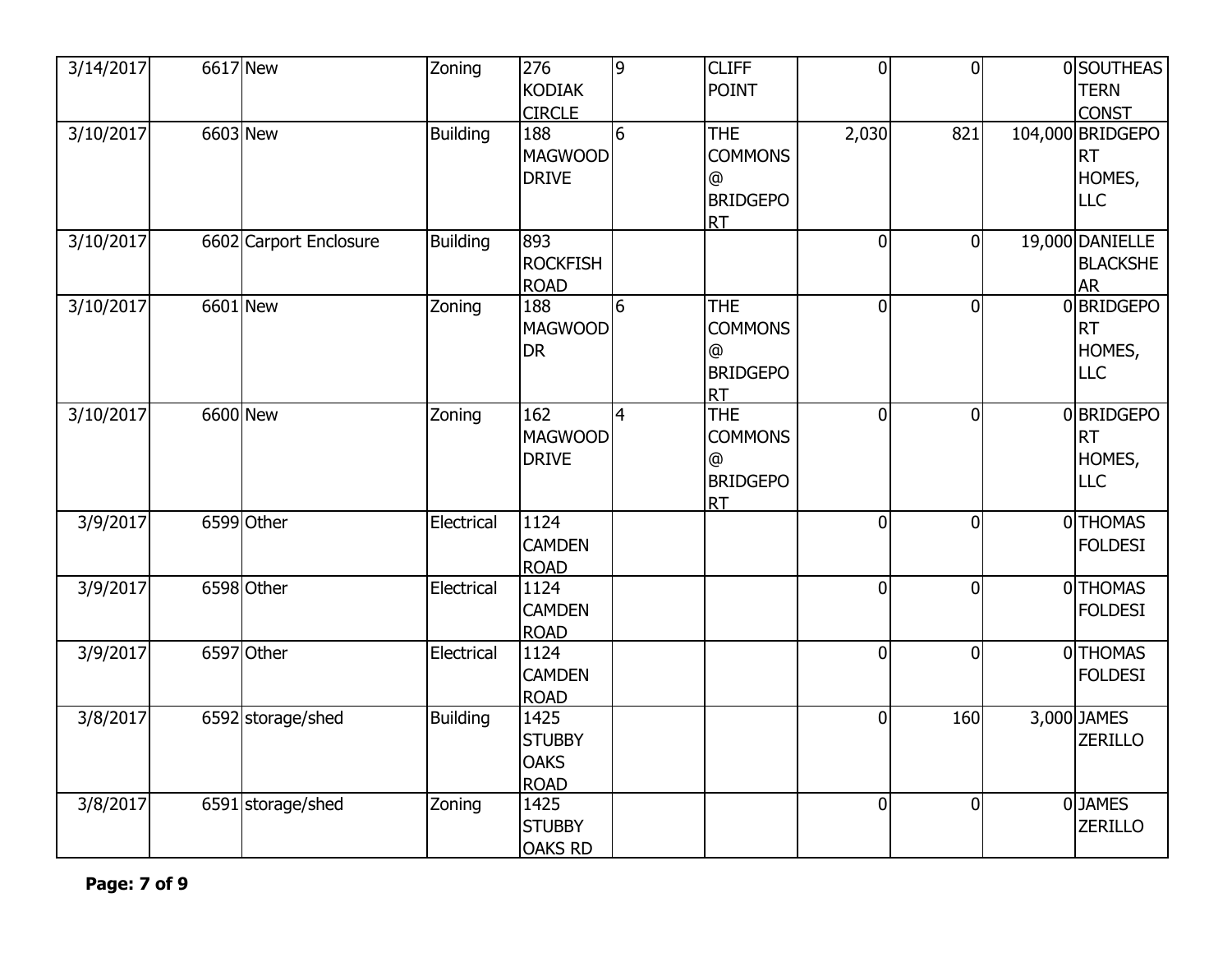| 3/14/2017 | 6617 New               | Zoning          | 276<br><b>KODIAK</b>                                | 9               | <b>CLIFF</b><br><b>POINT</b>                                      | $\overline{0}$ | $\overline{0}$ | 0SOUTHEAS<br><b>TERN</b>                              |
|-----------|------------------------|-----------------|-----------------------------------------------------|-----------------|-------------------------------------------------------------------|----------------|----------------|-------------------------------------------------------|
|           |                        |                 | <b>CIRCLE</b>                                       |                 |                                                                   |                |                | <b>CONST</b>                                          |
| 3/10/2017 | 6603 New               | <b>Building</b> | 188<br>MAGWOOD<br><b>DRIVE</b>                      | $6\overline{6}$ | <b>THE</b><br><b>COMMONS</b><br>@<br><b>BRIDGEPO</b><br><b>RT</b> | 2,030          | 821            | 104,000 BRIDGEPO<br><b>RT</b><br>HOMES,<br><b>LLC</b> |
| 3/10/2017 | 6602 Carport Enclosure | <b>Building</b> | 893<br><b>ROCKFISH</b><br><b>ROAD</b>               |                 |                                                                   | $\overline{0}$ | $\overline{0}$ | 19,000 DANIELLE<br><b>BLACKSHE</b><br><b>AR</b>       |
| 3/10/2017 | 6601 New               | Zoning          | 188<br>MAGWOOD<br>DR                                | $6\overline{6}$ | <b>THE</b><br><b>COMMONS</b><br>@<br><b>BRIDGEPO</b><br><b>RT</b> | $\overline{0}$ | $\mathbf 0$    | 0BRIDGEPO<br><b>RT</b><br>HOMES,<br><b>LLC</b>        |
| 3/10/2017 | 6600 New               | Zoning          | 162<br>MAGWOOD<br>DRIVE                             | 4               | <b>THE</b><br><b>COMMONS</b><br>@<br><b>BRIDGEPO</b><br>RT        | $\overline{0}$ | $\overline{0}$ | 0BRIDGEPO<br><b>RT</b><br>HOMES,<br><b>LLC</b>        |
| 3/9/2017  | 6599 Other             | Electrical      | 1124<br><b>CAMDEN</b><br><b>ROAD</b>                |                 |                                                                   | $\overline{0}$ | $\overline{0}$ | 0 THOMAS<br><b>FOLDESI</b>                            |
| 3/9/2017  | 6598 Other             | Electrical      | 1124<br><b>CAMDEN</b><br><b>ROAD</b>                |                 |                                                                   | $\overline{0}$ | $\overline{0}$ | 0 THOMAS<br><b>FOLDESI</b>                            |
| 3/9/2017  | 6597 Other             | Electrical      | 1124<br><b>CAMDEN</b><br><b>ROAD</b>                |                 |                                                                   | $\overline{0}$ | $\mathbf 0$    | 0THOMAS<br><b>FOLDESI</b>                             |
| 3/8/2017  | 6592 storage/shed      | <b>Building</b> | 1425<br><b>STUBBY</b><br><b>OAKS</b><br><b>ROAD</b> |                 |                                                                   | $\overline{0}$ | 160            | 3,000 JAMES<br><b>ZERILLO</b>                         |
| 3/8/2017  | 6591 storage/shed      | Zoning          | 1425<br><b>STUBBY</b><br><b>OAKS RD</b>             |                 |                                                                   | $\overline{0}$ | $\overline{0}$ | 0JAMES<br><b>ZERILLO</b>                              |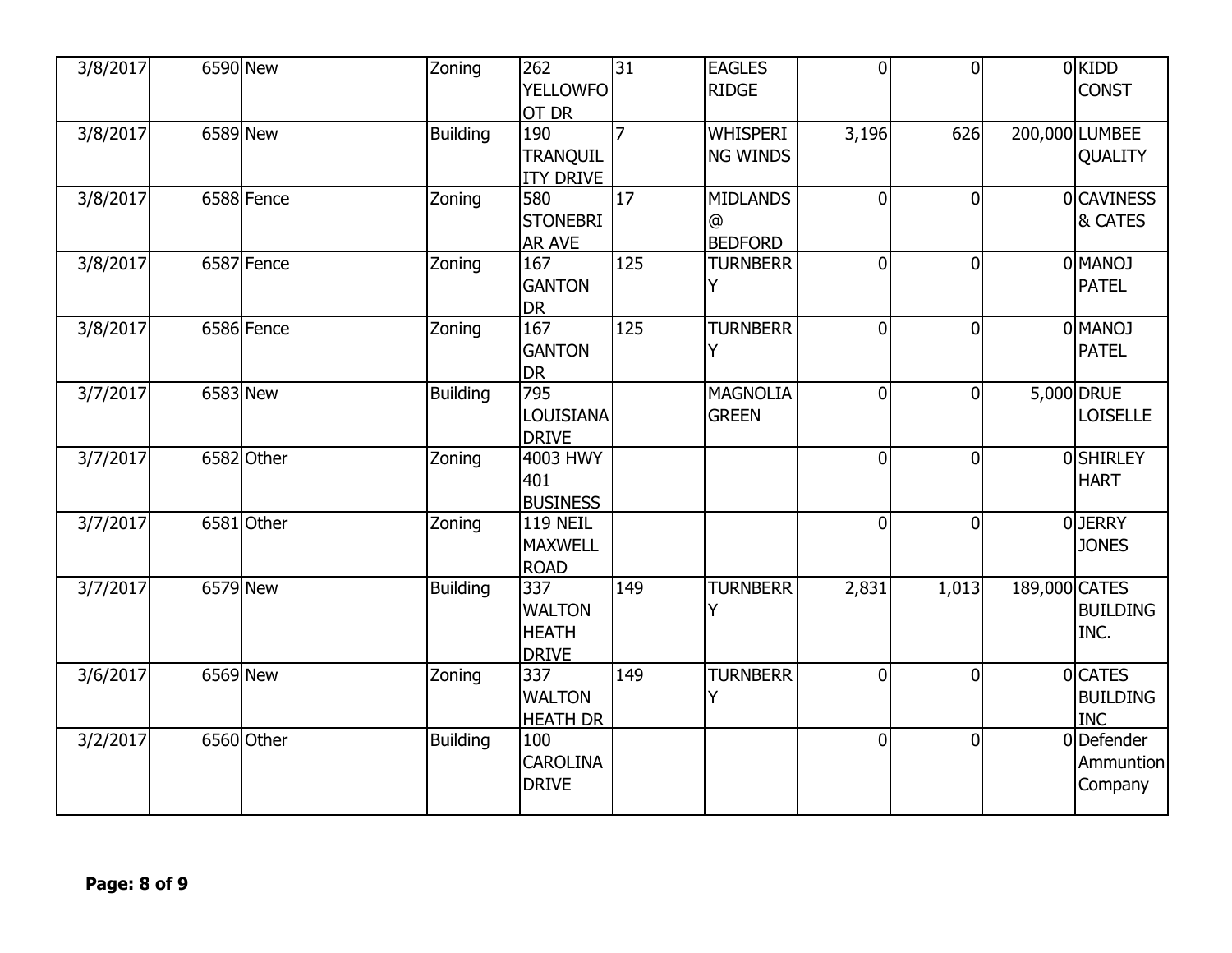| 3/8/2017 | 6590 New   | Zoning          | 262<br><b>YELLOWFO</b><br><b>OT DR</b>               | 31             | <b>EAGLES</b><br><b>RIDGE</b>          | $\mathbf{0}$   | $\overline{0}$ |               | $0$ KIDD<br><b>CONST</b>                 |
|----------|------------|-----------------|------------------------------------------------------|----------------|----------------------------------------|----------------|----------------|---------------|------------------------------------------|
| 3/8/2017 | 6589 New   | <b>Building</b> | 190<br><b>TRANQUIL</b><br><b>ITY DRIVE</b>           | $\overline{7}$ | <b>WHISPERI</b><br><b>NG WINDS</b>     | 3,196          | 626            |               | 200,000 LUMBEE<br>QUALITY                |
| 3/8/2017 | 6588 Fence | Zoning          | 580<br><b>STONEBRI</b><br><b>AR AVE</b>              | 17             | <b>MIDLANDS</b><br>@<br><b>BEDFORD</b> | $\mathbf{0}$   | $\overline{0}$ |               | 0 CAVINESS<br>& CATES                    |
| 3/8/2017 | 6587 Fence | Zoning          | 167<br><b>GANTON</b><br><b>DR</b>                    | 125            | <b>TURNBERR</b><br>Y                   | $\overline{0}$ | $\overline{0}$ |               | 0 MANOJ<br><b>PATEL</b>                  |
| 3/8/2017 | 6586 Fence | Zoning          | 167<br><b>GANTON</b><br><b>DR</b>                    | 125            | <b>TURNBERR</b><br>Y                   | $\mathbf{0}$   | $\overline{0}$ |               | 0 MANOJ<br><b>PATEL</b>                  |
| 3/7/2017 | 6583 New   | <b>Building</b> | 795<br>LOUISIANA<br><b>DRIVE</b>                     |                | <b>MAGNOLIA</b><br><b>GREEN</b>        | $\overline{0}$ | 0              |               | 5,000 DRUE<br><b>LOISELLE</b>            |
| 3/7/2017 | 6582 Other | Zoning          | 4003 HWY<br>401<br><b>BUSINESS</b>                   |                |                                        | $\overline{0}$ | $\overline{0}$ |               | <b>OSHIRLEY</b><br><b>HART</b>           |
| 3/7/2017 | 6581 Other | Zoning          | <b>119 NEIL</b><br><b>MAXWELL</b><br><b>ROAD</b>     |                |                                        | $\mathbf{0}$   | $\overline{0}$ |               | 0JERRY<br><b>JONES</b>                   |
| 3/7/2017 | 6579 New   | <b>Building</b> | 337<br><b>WALTON</b><br><b>HEATH</b><br><b>DRIVE</b> | 149            | <b>TURNBERR</b><br>Y                   | 2,831          | 1,013          | 189,000 CATES | <b>BUILDING</b><br>INC.                  |
| 3/6/2017 | 6569 New   | Zoning          | 337<br><b>WALTON</b><br><b>HEATH DR</b>              | 149            | <b>TURNBERR</b><br>Y                   | $\overline{0}$ | $\overline{0}$ |               | 0 CATES<br><b>BUILDING</b><br><b>INC</b> |
| 3/2/2017 | 6560 Other | <b>Building</b> | 100<br><b>CAROLINA</b><br><b>DRIVE</b>               |                |                                        | $\overline{0}$ | $\mathbf 0$    |               | 0Defender<br><b>Ammuntion</b><br>Company |